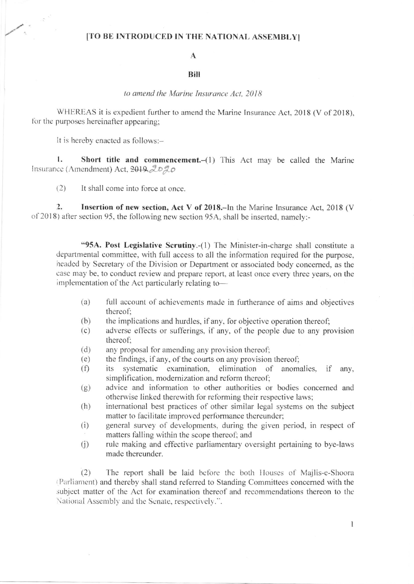## [TO BE INTRODUCED IN THE NATIONAL ASSEMBLY]

### $\mathbf{A}$

#### **Bill**

#### to amend the Marine Insurance Act, 2018

WHEREAS it is expedient further to amend the Marine Insurance Act, 2018 (V of 2018), for the purposes hereinafter appearing;

It is hereby enacted as follows:-

1. Short title and commencement.-(1) This Act may be called the Marine Insurance (Amendment) Act, 2019, 2020

 $(2)$ It shall come into force at once.

 $\overline{2}$ . Insertion of new section, Act V of 2018.-In the Marine Insurance Act, 2018 (V of 2018) after section 95, the following new section 95A, shall be inserted, namely:-

"95A. Post Legislative Scrutiny.-(1) The Minister-in-charge shall constitute a departmental committee, with full access to all the information required for the purpose, headed by Secretary of the Division or Department or associated body concerned, as the case may be, to conduct review and prepare report, at least once every three years, on the implementation of the Act particularly relating to-

- $(a)$ full account of achievements made in furtherance of aims and objectives thereof:
- $(b)$ the implications and hurdles, if any, for objective operation thereof;
- $(c)$ adverse effects or sufferings, if any, of the people due to any provision thereof:
- $(d)$ any proposal for amending any provision thereof;
- the findings, if any, of the courts on any provision thereof;  $(e)$
- systematic examination, elimination of anomalies, if any,  $(f)$ its simplification, modernization and reform thereof;
- advice and information to other authorities or bodies concerned and  $(g)$ otherwise linked therewith for reforming their respective laws;
- international best practices of other similar legal systems on the subject  $(h)$ matter to facilitate improved performance thereunder;
- $(i)$ general survey of developments, during the given period, in respect of matters falling within the scope thereof; and
- rule making and effective parliamentary oversight pertaining to bye-laws  $(i)$ made thereunder.

 $(2)$ The report shall be laid before the both Houses of Majlis-e-Shoora (Parliament) and thereby shall stand referred to Standing Committees concerned with the subject matter of the Act for examination thereof and recommendations thereon to the National Assembly and the Senate, respectively.".

 $\mathbf{1}$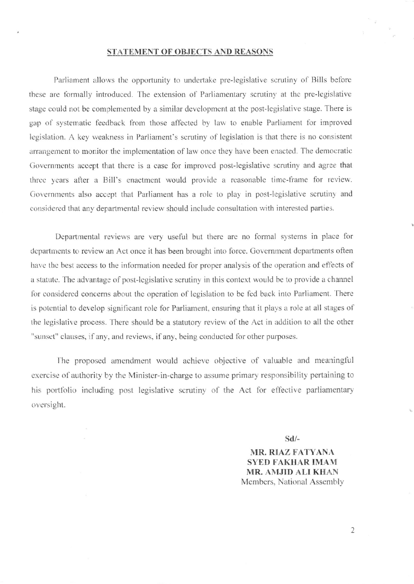# STATEMENT OF OBJECTS AND REASONS

Parliament allows the opportunity to undertake pre-legislative scrutiny of Bills before these are formally introduced. The extension of Parliamentary scrutiny at the pre-legislative stage could not be complemented by a similar development at the post-legislative stage. There is gap of systematic feedback from those affected by law to enable Parliament for improved legislation. A key weakness in Parliament's scrutiny of legislation is that there is no consistent arrangement to monitor the implementation of law once they have been enacted. The democratic Governments accept that there is a case for improved post-legislative scrutiny and agree that three years after a Bill's enactment would provide a reasonable time-frame for review. Governments also accept that Parliament has a role to play in post-legislative scrutiny and considered that any departmental review should include consultation with interested parties.

Departmental reviews are very useful but there are no formal systems in place for departments to review an Act once it has been brought into force. Government departments often have the best access to the information needed for proper analysis of the operation and effects of a statute. The advantage of post-legislative scrutiny in this context would be to provide a channel for considered concerns about the operation of legislation to be fed back into Parliament. There is potential to develop significant role for Parliament, ensuring that it plays a role at all stages of the legislative process. There should be a statutory review of the Act in addition to all the other "sunset" clauses, if any, and reviews, if any, being conducted for other purposes.

The proposed amendment would achieve objective of valuable and meaningful exercise of authority by the Minister-in-charge to assume primary responsibility pertaining to his portfolio including post legislative scrutiny of the Act for effective parliamentary oversight.

 $Sd$  –

**MR. RIAZ FATYANA SYED FAKHAR IMAM** MR. AMJID ALI KHAN Members, National Assembly

 $\overline{2}$